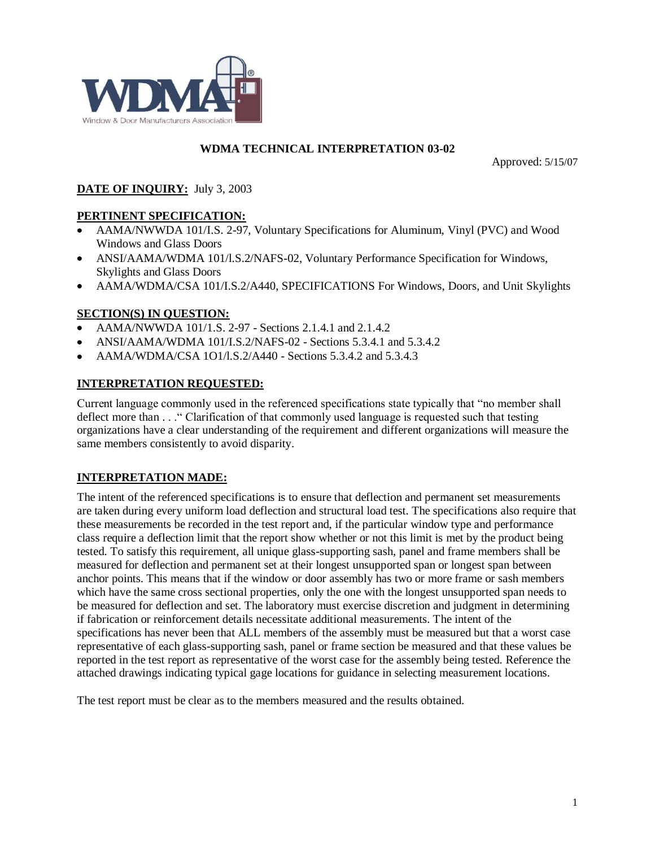

#### **WDMA TECHNICAL INTERPRETATION 03-02**

Approved: 5/15/07

### **DATE OF INQUIRY:** July 3, 2003

### **PERTINENT SPECIFICATION:**

- AAMA/NWWDA 101/I.S. 2-97, Voluntary Specifications for Aluminum, Vinyl (PVC) and Wood  $\bullet$ Windows and Glass Doors
- ANSI/AAMA/WDMA 101/l.S.2/NAFS-02, Voluntary Performance Specification for Windows, Skylights and Glass Doors
- AAMA/WDMA/CSA 101/I.S.2/A440, SPECIFICATIONS For Windows, Doors, and Unit Skylights

### **SECTION(S) IN QUESTION:**

- AAMA/NWWDA 101/1.S. 2-97 Sections 2.1.4.1 and 2.1.4.2
- ANSI/AAMA/WDMA 101/I.S.2/NAFS-02 Sections 5.3.4.1 and 5.3.4.2
- AAMA/WDMA/CSA 1O1/l.S.2/A440 Sections 5.3.4.2 and 5.3.4.3

### **INTERPRETATION REQUESTED:**

Current language commonly used in the referenced specifications state typically that "no member shall deflect more than . . ." Clarification of that commonly used language is requested such that testing organizations have a clear understanding of the requirement and different organizations will measure the same members consistently to avoid disparity.

### **INTERPRETATION MADE:**

The intent of the referenced specifications is to ensure that deflection and permanent set measurements are taken during every uniform load deflection and structural load test. The specifications also require that these measurements be recorded in the test report and, if the particular window type and performance class require a deflection limit that the report show whether or not this limit is met by the product being tested. To satisfy this requirement, all unique glass-supporting sash, panel and frame members shall be measured for deflection and permanent set at their longest unsupported span or longest span between anchor points. This means that if the window or door assembly has two or more frame or sash members which have the same cross sectional properties, only the one with the longest unsupported span needs to be measured for deflection and set. The laboratory must exercise discretion and judgment in determining if fabrication or reinforcement details necessitate additional measurements. The intent of the specifications has never been that ALL members of the assembly must be measured but that a worst case representative of each glass-supporting sash, panel or frame section be measured and that these values be reported in the test report as representative of the worst case for the assembly being tested. Reference the attached drawings indicating typical gage locations for guidance in selecting measurement locations.

The test report must be clear as to the members measured and the results obtained.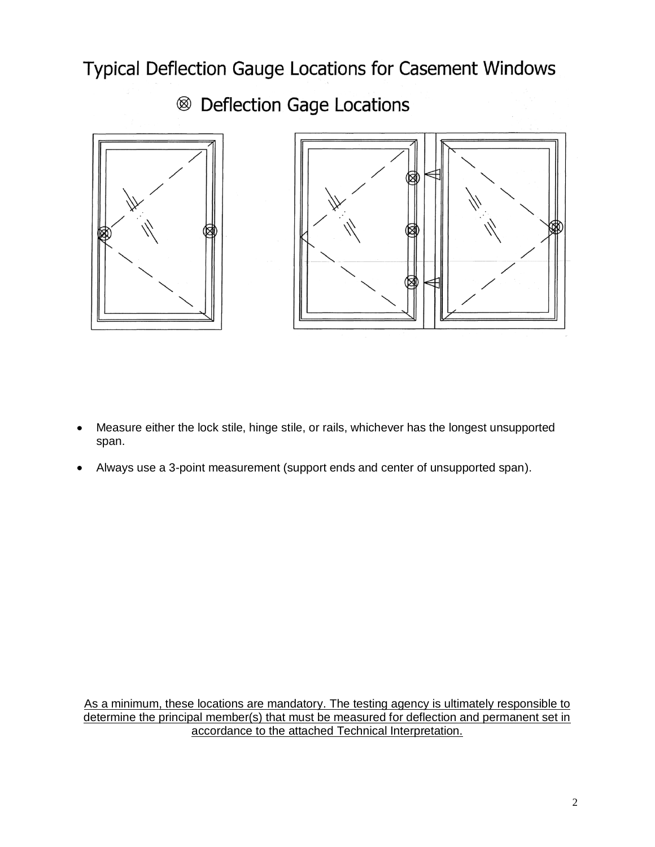Typical Deflection Gauge Locations for Casement Windows

<sup>®</sup> Deflection Gage Locations



- Measure either the lock stile, hinge stile, or rails, whichever has the longest unsupported  $\bullet$ span.
- Always use a 3-point measurement (support ends and center of unsupported span).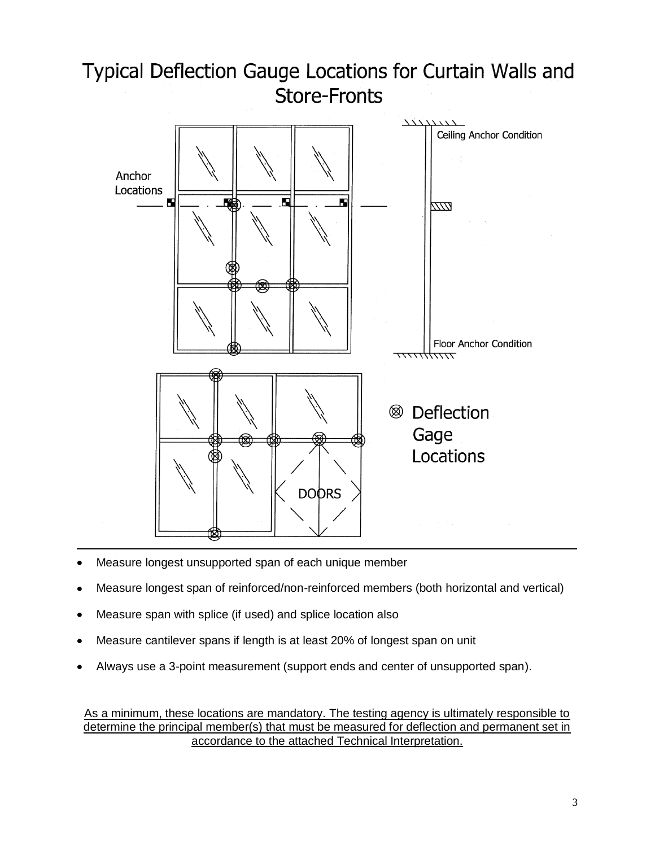## Typical Deflection Gauge Locations for Curtain Walls and **Store-Fronts**



- Measure longest unsupported span of each unique member
- Measure longest span of reinforced/non-reinforced members (both horizontal and vertical)
- Measure span with splice (if used) and splice location also
- Measure cantilever spans if length is at least 20% of longest span on unit
- Always use a 3-point measurement (support ends and center of unsupported span).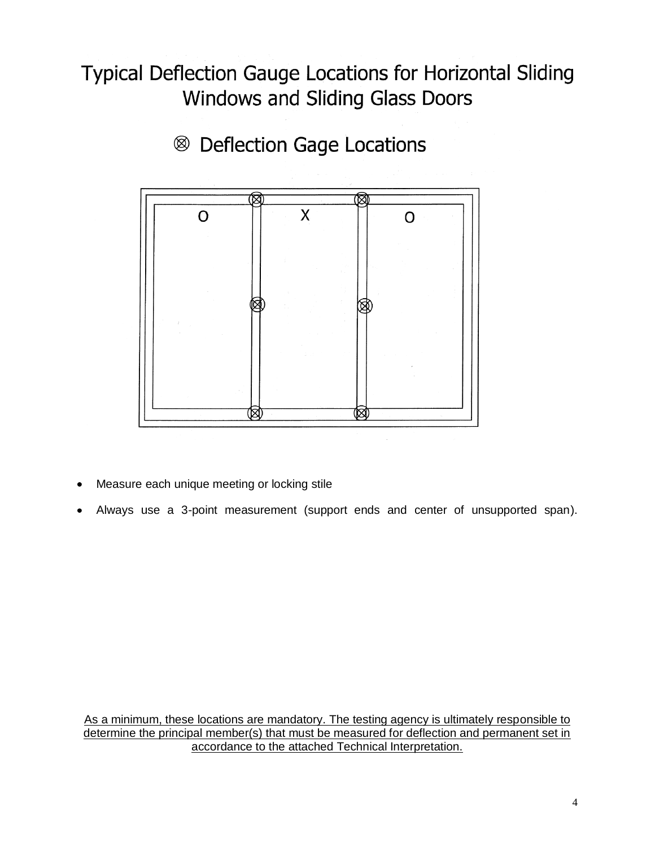# **Typical Deflection Gauge Locations for Horizontal Sliding** Windows and Sliding Glass Doors



<sup>8</sup> Deflection Gage Locations

- Measure each unique meeting or locking stile
- Always use a 3-point measurement (support ends and center of unsupported span).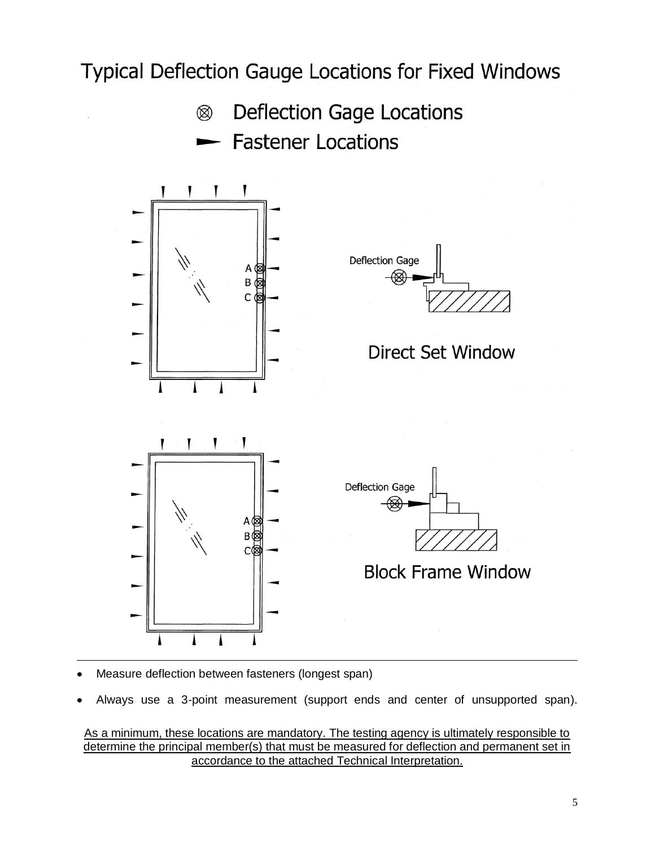## Typical Deflection Gauge Locations for Fixed Windows

- **Deflection Gage Locations** ▧
	- **Fastener Locations**



- Measure deflection between fasteners (longest span)
- Always use a 3-point measurement (support ends and center of unsupported span).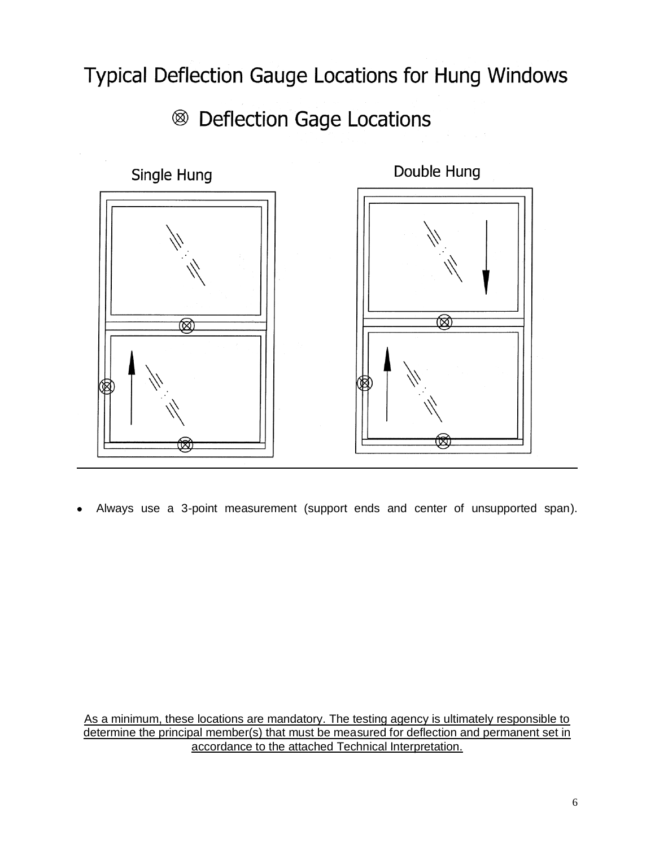Typical Deflection Gauge Locations for Hung Windows

<sup>®</sup> Deflection Gage Locations



Always use a 3-point measurement (support ends and center of unsupported span).

As a minimum, these locations are mandatory. The testing agency is ultimately responsible to determine the principal member(s) that must be measured for deflection and permanent set in accordance to the attached Technical Interpretation.

6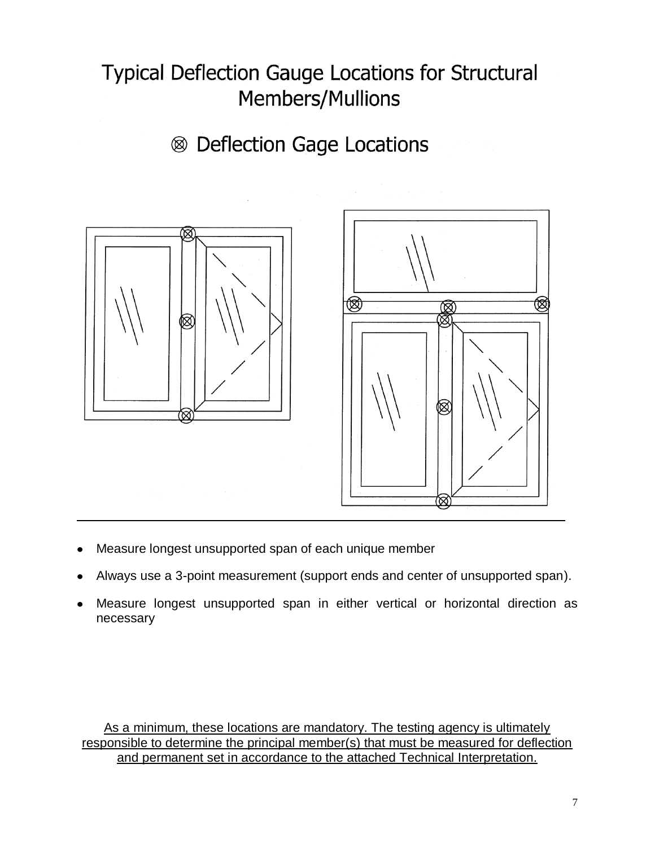# **Typical Deflection Gauge Locations for Structural** Members/Mullions

# <sup>®</sup> Deflection Gage Locations



- Measure longest unsupported span of each unique member
- Always use a 3-point measurement (support ends and center of unsupported span).
- Measure longest unsupported span in either vertical or horizontal direction as necessary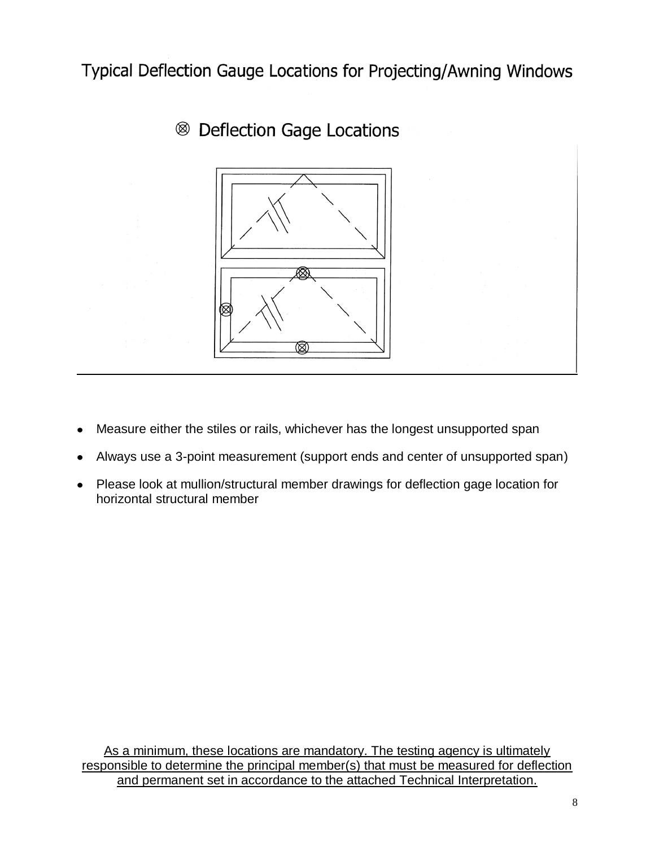Typical Deflection Gauge Locations for Projecting/Awning Windows





- Measure either the stiles or rails, whichever has the longest unsupported span
- Always use a 3-point measurement (support ends and center of unsupported span)
- Please look at mullion/structural member drawings for deflection gage location for  $\bullet$ horizontal structural member